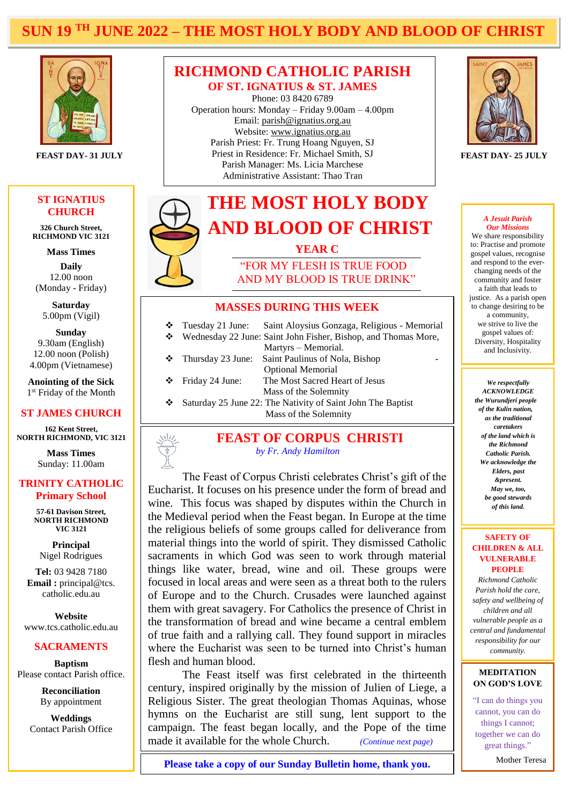# **SUN 19 TH JUNE 2022 – THE MOST HOLY BODY AND BLOOD OF CHRIST**

**Hotel Construction** 



#### **ST IGNATIUS CHURCH**

**326 Church Street, RICHMOND VIC 3121**

**Mass Times**

**Daily** 12.00 noon (Monday - Friday)

**Saturday** 5.00pm (Vigil)

**Sunday** 9.30am (English) 12.00 noon (Polish) 4.00pm (Vietnamese)

**Anointing of the Sick** 1<sup>st</sup> Friday of the Month

# **ST JAMES CHURCH**

 **NORTH RICHMOND, VIC 3121 162 Kent Street,**

> **Mass Times** Sunday: 11.00am

#### **TRINITY CATHOLIC Primary School**

**57-61 Davison Street, NORTH RICHMOND VIC 3121**

**Principal** Nigel Rodrigues

**Tel:** 03 9428 7180 **Email :** principal@tcs. catholic.edu.au

**Website** www.tcs.catholic.edu.au

#### **SACRAMENTS**

**Baptism** Please contact Parish office.

> **Reconciliation** By appointment

**Weddings** Contact Parish Office

## **RICHMOND CATHOLIC PARISH OF ST. IGNATIUS & ST. JAMES**

Phone: 03 8420 6789 Operation hours: Monday – Friday 9.00am – 4.00pm Email: [parish@ignatius.org.au](mailto:parish@ignatius.org.au) Website: [www.ignatius.org.au](http://www.ignatius.org.au/) Parish Priest: Fr. Trung Hoang Nguyen, SJ Priest in Residence: Fr. Michael Smith, SJ **FEAST DAY- 31 JULY FEAST DAY- 25 JULY** Parish Manager: Ms. Licia Marchese Administrative Assistant: Thao Tran



#### **MASSES DURING THIS WEEK**

| ❖<br>❖ | Tuesday 21 June:  | Saint Aloysius Gonzaga, Religious - Memorial<br>Wednesday 22 June: Saint John Fisher, Bishop, and Thomas More, |
|--------|-------------------|----------------------------------------------------------------------------------------------------------------|
|        |                   | Martyrs – Memorial.                                                                                            |
| ❖      | Thursday 23 June: | Saint Paulinus of Nola, Bishop                                                                                 |
|        |                   | <b>Optional Memorial</b>                                                                                       |
| ❖      | Friday 24 June:   | The Most Sacred Heart of Jesus                                                                                 |
|        |                   | Mass of the Solemnity                                                                                          |
| ❖      |                   | Saturday 25 June 22: The Nativity of Saint John The Baptist                                                    |
|        |                   | Mass of the Solemnity                                                                                          |
|        |                   |                                                                                                                |

**FEAST OF CORPUS CHRISTI**  *by Fr. Andy Hamilton*

Eucharist. It focuses on his presence under the form of bread and wine. This focus was shaped by disputes within the Church in The Feast of Corpus Christi celebrates Christ's gift of the the Medieval period when the Feast began. In Europe at the time the religious beliefs of some groups called for deliverance from material things into the world of spirit. They dismissed Catholic sacraments in which God was seen to work through material things like water, bread, wine and oil. These groups were focused in local areas and were seen as a threat both to the rulers of Europe and to the Church. Crusades were launched against them with great savagery. For Catholics the presence of Christ in the transformation of bread and wine became a central emblem of true faith and a rallying call. They found support in miracles where the Eucharist was seen to be turned into Christ's human flesh and human blood.

The Feast itself was first celebrated in the thirteenth century, inspired originally by the mission of Julien of Liege, a Religious Sister. The great theologian Thomas Aquinas, whose hymns on the Eucharist are still sung, lent support to the campaign. The feast began locally, and the Pope of the time made it available for the whole Church. *(Continue next page)*

#### *A Jesuit Parish Our Missions*

We share responsibility to: Practise and promote gospel values, recognise and respond to the everchanging needs of the community and foster a faith that leads to justice. As a parish open to change desiring to be a community, we strive to live the gospel values of: Diversity, Hospitality and Inclusivity.

*We respectfully ACKNOWLEDGE the Wurundjeri people of the Kulin nation, as the traditional caretakers of the land which is the Richmond Catholic Parish. We acknowledge the Elders, past &present. May we, too, be good stewards of this land.*

#### **SAFETY OF CHILDREN & ALL VULNERABLE PEOPLE**

*Richmond Catholic Parish hold the care, safety and wellbeing of children and all vulnerable people as a central and fundamental responsibility for our community.*

#### **MEDITATION ON GOD'S LOVE**

"I can do things you cannot, you can do things I cannot; together [we can do](https://everydaypowerblog.com/marie-curie-quotes/)  [great things."](https://everydaypowerblog.com/marie-curie-quotes/)

Mother Teresa

**Please take a copy of our Sunday Bulletin home, thank you.**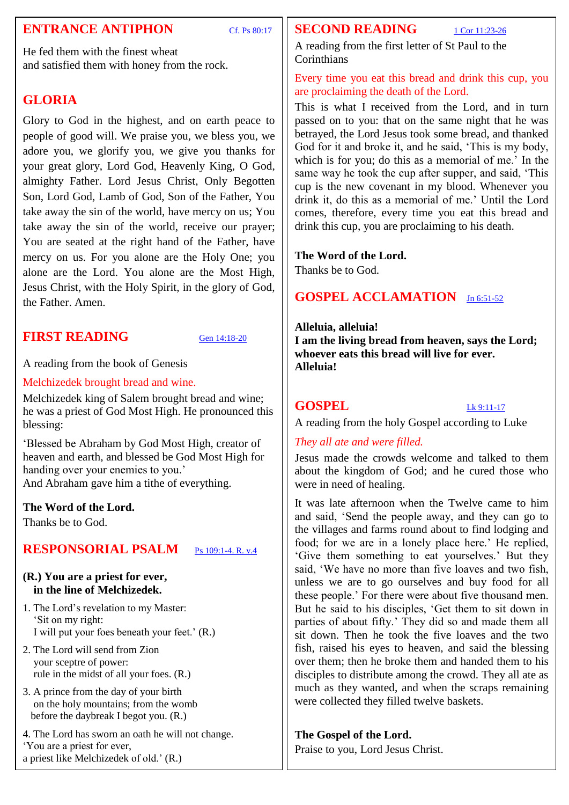# **ENTRANCE ANTIPHON** Cf. Ps 80:17

**SECOND READING**  $1 \text{ Cor } 11:23-26$ 

A reading from the first letter of St Paul to the **Corinthians** 

Every time you eat this bread and drink this cup, you are proclaiming the death of the Lord.

This is what I received from the Lord, and in turn passed on to you: that on the same night that he was betrayed, the Lord Jesus took some bread, and thanked God for it and broke it, and he said, 'This is my body, which is for you; do this as a memorial of me.' In the same way he took the cup after supper, and said, 'This cup is the new covenant in my blood. Whenever you drink it, do this as a memorial of me.' Until the Lord comes, therefore, every time you eat this bread and drink this cup, you are proclaiming to his death.

# **The Word of the Lord.**

Thanks be to God.

# **GOSPEL ACCLAMATION** [Jn 6:51-52](https://www.liturgyhelp.com/ritual/lectionary/LectionaryListGosAc%7Cjhn#jhn006)

### **Alleluia, alleluia!**

**I am the living bread from heaven, says the Lord; whoever eats this bread will live for ever. Alleluia!**

# **GOSPEL** [Lk 9:11-17](https://www.liturgyhelp.com/ritual/lectionary/LectionaryList%7Cluk#luk009)

A reading from the holy Gospel according to Luke

# *They all ate and were filled.*

Jesus made the crowds welcome and talked to them about the kingdom of God; and he cured those who were in need of healing.

It was late afternoon when the Twelve came to him and said, 'Send the people away, and they can go to the villages and farms round about to find lodging and food; for we are in a lonely place here.' He replied, 'Give them something to eat yourselves.' But they said, 'We have no more than five loaves and two fish, unless we are to go ourselves and buy food for all these people.' For there were about five thousand men. But he said to his disciples, 'Get them to sit down in parties of about fifty.' They did so and made them all sit down. Then he took the five loaves and the two fish, raised his eyes to heaven, and said the blessing over them; then he broke them and handed them to his disciples to distribute among the crowd. They all ate as much as they wanted, and when the scraps remaining were collected they filled twelve baskets.

## **The Gospel of the Lord.**

Praise to you, Lord Jesus Christ.

He fed them with the finest wheat and satisfied them with honey from the rock.

# **GLORIA**

Glory to God in the highest, and on earth peace to people of good will. We praise you, we bless you, we adore you, we glorify you, we give you thanks for your great glory, Lord God, Heavenly King, O God, almighty Father. Lord Jesus Christ, Only Begotten Son, Lord God, Lamb of God, Son of the Father, You take away the sin of the world, have mercy on us; You take away the sin of the world, receive our prayer; You are seated at the right hand of the Father, have mercy on us. For you alone are the Holy One; you alone are the Lord. You alone are the Most High, Jesus Christ, with the Holy Spirit, in the glory of God, the Father. Amen.

# **FIRST READING** [Gen 14:18-20](https://www.liturgyhelp.com/ritual/lectionary/LectionaryList%7Cgen#gen014)

A reading from the book of Genesis

Melchizedek brought bread and wine.

Melchizedek king of Salem brought bread and wine; he was a priest of God Most High. He pronounced this blessing:

'Blessed be Abraham by God Most High, creator of heaven and earth, and blessed be God Most High for handing over your enemies to you.' And Abraham gave him a tithe of everything.

## **The Word of the Lord.**

Thanks be to God.

# **RESPONSORIAL PSALM** [Ps 109:1-4. R. v.4](https://www.liturgyhelp.com/ritual/lectionary/LectionaryListPsalm%7Cpsm)

## **(R.) You are a priest for ever, in the line of Melchizedek.**

- 1. The Lord's revelation to my Master: 'Sit on my right: I will put your foes beneath your feet.' (R.)
- 2. The Lord will send from Zion your sceptre of power: rule in the midst of all your foes. (R.)
- 3. A prince from the day of your birth on the holy mountains; from the womb before the daybreak I begot you. (R.)
- 4. The Lord has sworn an oath he will not change. 'You are a priest for ever, a priest like Melchizedek of old.' (R.)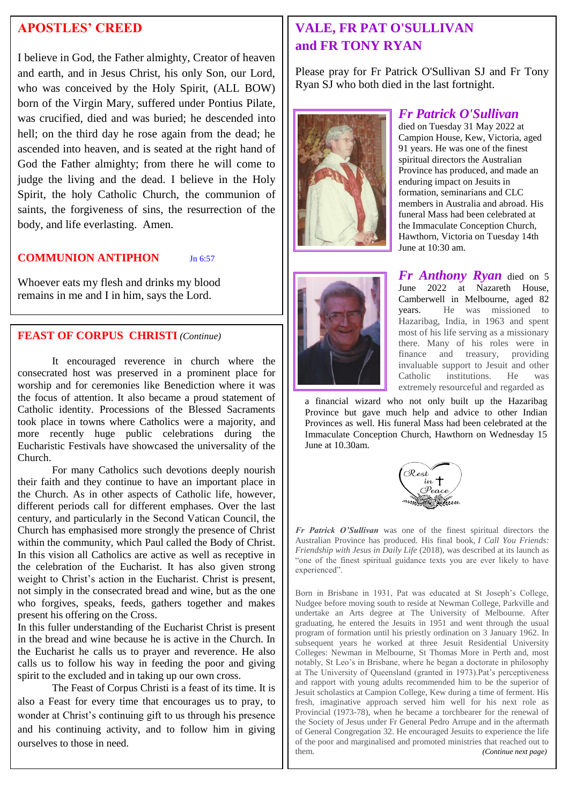# **APOSTLES' CREED**

I believe in God, the Father almighty, Creator of heaven and earth, and in Jesus Christ, his only Son, our Lord, who was conceived by the Holy Spirit, (ALL BOW) born of the Virgin Mary, suffered under Pontius Pilate, was crucified, died and was buried; he descended into hell; on the third day he rose again from the dead; he ascended into heaven, and is seated at the right hand of God the Father almighty; from there he will come to judge the living and the dead. I believe in the Holy Spirit, the holy Catholic Church, the communion of saints, the forgiveness of sins, the resurrection of the body, and life everlasting. Amen.

## **COMMUNION ANTIPHON** Jn 6:57

Whoever eats my flesh and drinks my blood remains in me and I in him, says the Lord.

## **FEAST OF CORPUS CHRISTI** *(Continue)*

It encouraged reverence in church where the consecrated host was preserved in a prominent place for worship and for ceremonies like Benediction where it was the focus of attention. It also became a proud statement of Catholic identity. Processions of the Blessed Sacraments took place in towns where Catholics were a majority, and more recently huge public celebrations during the Eucharistic Festivals have showcased the universality of the Church.

For many Catholics such devotions deeply nourish their faith and they continue to have an important place in the Church. As in other aspects of Catholic life, however, different periods call for different emphases. Over the last century, and particularly in the Second Vatican Council, the Church has emphasised more strongly the presence of Christ within the community, which Paul called the Body of Christ. In this vision all Catholics are active as well as receptive in the celebration of the Eucharist. It has also given strong weight to Christ's action in the Eucharist. Christ is present, not simply in the consecrated bread and wine, but as the one who forgives, speaks, feeds, gathers together and makes present his offering on the Cross.

In this fuller understanding of the Eucharist Christ is present in the bread and wine because he is active in the Church. In the Eucharist he calls us to prayer and reverence. He also calls us to follow his way in feeding the poor and giving spirit to the excluded and in taking up our own cross.

The Feast of Corpus Christi is a feast of its time. It is also a Feast for every time that encourages us to pray, to wonder at Christ's continuing gift to us through his presence and his continuing activity, and to follow him in giving ourselves to those in need.

# **VALE, FR PAT O'SULLIVAN and FR TONY RYAN**

Please pray for Fr Patrick O'Sullivan SJ and Fr Tony Ryan SJ who both died in the last fortnight.





## *Fr Patrick O'Sullivan*

died on Tuesday 31 May 2022 at Campion House, Kew, Victoria, aged 91 years. He was one of the finest spiritual directors the Australian Province has produced, and made an enduring impact on Jesuits in formation, seminarians and CLC members in Australia and abroad. His funeral Mass had been celebrated at the Immaculate Conception Church, Hawthorn, Victoria on Tuesday 14th June at 10:30 am.

*Fr Anthony Ryan* died on 5 June 2022 at Nazareth House, Camberwell in Melbourne, aged 82 years. He was missioned to Hazaribag, India, in 1963 and spent most of his life serving as a missionary there. Many of his roles were in finance and treasury, providing invaluable support to Jesuit and other Catholic institutions. He was extremely resourceful and regarded as

a financial wizard who not only built up the Hazaribag Province but gave much help and advice to other Indian Provinces as well. His funeral Mass had been celebrated at the Immaculate Conception Church, Hawthorn on Wednesday 15 June at 10.30am.



*Fr Patrick O'Sullivan* was one of the finest spiritual directors the Australian Province has produced. His final book, *I Call You Friends: Friendship with Jesus in Daily Life* (2018), was described at its launch as "one of the finest spiritual guidance texts you are ever likely to have experienced".

Born in Brisbane in 1931, Pat was educated at St Joseph's College, Nudgee before moving south to reside at Newman College, Parkville and undertake an Arts degree at The University of Melbourne. After graduating, he entered the Jesuits in 1951 and went through the usual program of formation until his priestly ordination on 3 January 1962. In subsequent years he worked at three Jesuit Residential University Colleges: Newman in Melbourne, St Thomas More in Perth and, most notably, St Leo's in Brisbane, where he began a doctorate in philosophy at The University of Queensland (granted in 1973).Pat's perceptiveness and rapport with young adults recommended him to be the superior of Jesuit scholastics at Campion College, Kew during a time of ferment. His fresh, imaginative approach served him well for his next role as Provincial (1973-78), when he became a torchbearer for the renewal of the Society of Jesus under Fr General Pedro Arrupe and in the aftermath of General Congregation 32. He encouraged Jesuits to experience the life of the poor and marginalised and promoted ministries that reached out to them. *(Continue next page)*